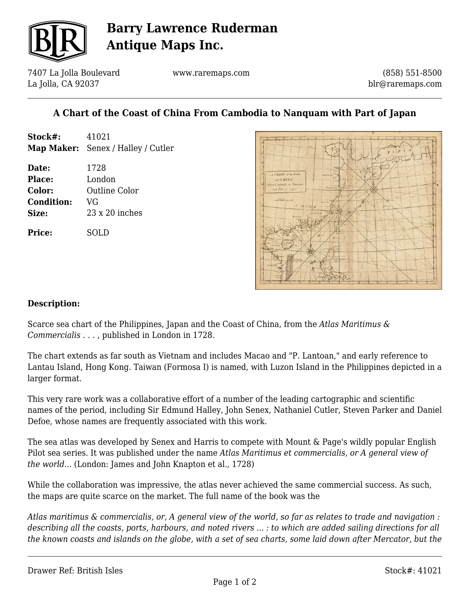

# **Barry Lawrence Ruderman Antique Maps Inc.**

7407 La Jolla Boulevard La Jolla, CA 92037

www.raremaps.com

(858) 551-8500 blr@raremaps.com

## **A Chart of the Coast of China From Cambodia to Nanquam with Part of Japan**

| Stock#:           | 41021                              |
|-------------------|------------------------------------|
|                   | Map Maker: Senex / Halley / Cutler |
| Date:             | 1728                               |
| Place:            | London                             |
| Color:            | Outline Color                      |
| <b>Condition:</b> | VG                                 |
| Size:             | $23 \times 20$ inches              |
| <b>Price:</b>     | OLD                                |



#### **Description:**

Scarce sea chart of the Philippines, Japan and the Coast of China, from the *Atlas Maritimus & Commercialis . . .* , published in London in 1728.

The chart extends as far south as Vietnam and includes Macao and "P. Lantoan," and early reference to Lantau Island, Hong Kong. Taiwan (Formosa I) is named, with Luzon Island in the Philippines depicted in a larger format.

This very rare work was a collaborative effort of a number of the leading cartographic and scientific names of the period, including Sir Edmund Halley, John Senex, Nathaniel Cutler, Steven Parker and Daniel Defoe, whose names are frequently associated with this work.

The sea atlas was developed by Senex and Harris to compete with Mount & Page's wildly popular English Pilot sea series. It was published under the name *Atlas Maritimus et commercialis, or A general view of the world...* (London: James and John Knapton et al., 1728)

While the collaboration was impressive, the atlas never achieved the same commercial success. As such, the maps are quite scarce on the market. The full name of the book was the

*Atlas maritimus & commercialis, or, A general view of the world, so far as relates to trade and navigation : describing all the coasts, ports, harbours, and noted rivers ... : to which are added sailing directions for all the known coasts and islands on the globe, with a set of sea charts, some laid down after Mercator, but the*